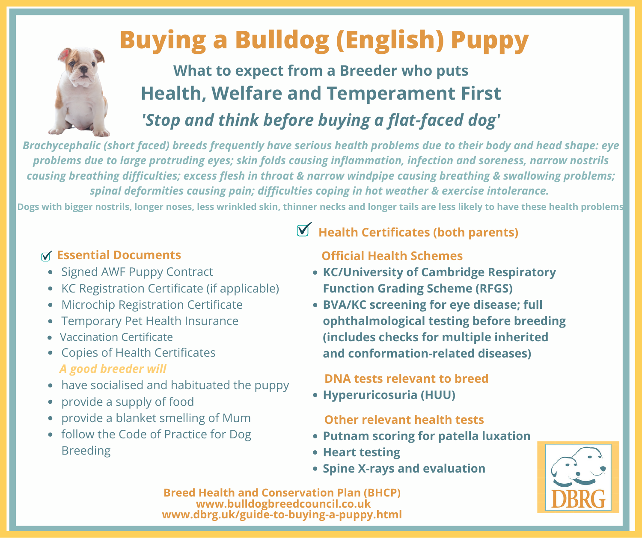# **Buying a Bulldog (English) Puppy**

## **What to expect from a Breeder who puts Health, Welfare and Temperament First** *'Stop and think before buying a flat-faced dog'*

*Brachycephalic (short faced) breeds frequently have serious health problems due to their body and head shape: eye problems due to large protruding eyes; skin folds causing inflammation, infection and soreness, narrow nostrils causing breathing difficulties; excess flesh in throat & narrow windpipe causing breathing & swallowing problems; spinal deformities causing pain; difficulties coping in hot weather & exercise intolerance.*

Dogs with bigger nostrils, longer noses, less wrinkled skin, thinner necks and longer tails are less likely to have these health problems

### **Essential Documents**

- Signed AWF Puppy Contract
- KC Registration Certificate (if applicable)
- Microchip Registration Certificate  $\bullet$
- Temporary Pet Health Insurance
- Vaccination Certificate
- Copies of Health Certificates *A good breeder will*
- have socialised and habituated the puppy
- provide a supply of food
- provide a blanket smelling of Mum
- follow the Code of Practice for Dog Breeding

### **Health Certificates (both parents)**

#### **Official Health Schemes**

- **KC/University of Cambridge Respiratory Function Grading Scheme (RFGS)**
- **BVA/KC screening for eye disease; full ophthalmological testing before breeding (includes checks for multiple inherited and conformation-related diseases)**

#### **DNA tests relevant to breed**

**Hyperuricosuria (HUU)**

#### **Other relevant health tests**

- **Putnam scoring for patella luxation**
- **Heart testing**
- **Spine X-rays and evaluation**

**Breed Health and Conservation Plan (BHCP) www.bulldogbreedcouncil.co.uk www.dbrg.uk/guide-to-buying-a-puppy.html**